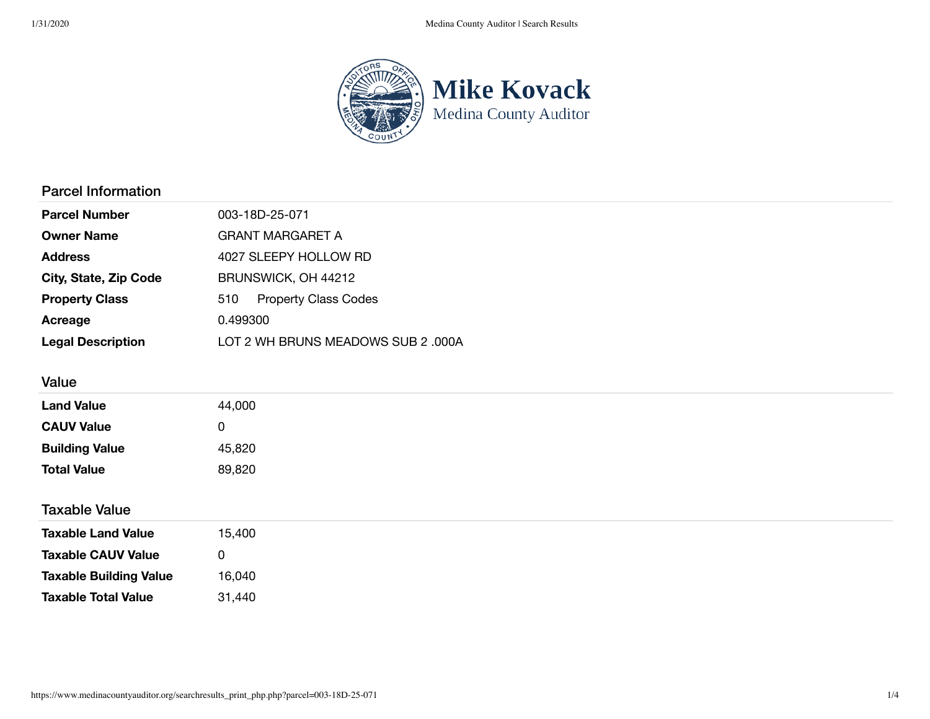

### Parcel Information

| <b>Parcel Number</b>     | 003-18D-25-071                     |  |  |  |
|--------------------------|------------------------------------|--|--|--|
| <b>Owner Name</b>        | GRANT MARGARET A                   |  |  |  |
| <b>Address</b>           | 4027 SLEEPY HOLLOW RD              |  |  |  |
| City, State, Zip Code    | BRUNSWICK, OH 44212                |  |  |  |
| <b>Property Class</b>    | <b>Property Class Codes</b><br>510 |  |  |  |
| Acreage                  | 0.499300                           |  |  |  |
| <b>Legal Description</b> | LOT 2 WH BRUNS MEADOWS SUB 2 .000A |  |  |  |

## Value

| <b>Land Value</b>     | 44,000 |  |  |
|-----------------------|--------|--|--|
| <b>CAUV Value</b>     | ັ      |  |  |
| <b>Building Value</b> | 45,820 |  |  |
| <b>Total Value</b>    | 89,820 |  |  |
|                       |        |  |  |

Taxable Value

| <b>Taxable Land Value</b>     | 15,400       |
|-------------------------------|--------------|
| <b>Taxable CAUV Value</b>     | $\mathbf{I}$ |
| <b>Taxable Building Value</b> | 16.040       |
| Taxable Total Value           | 31.440       |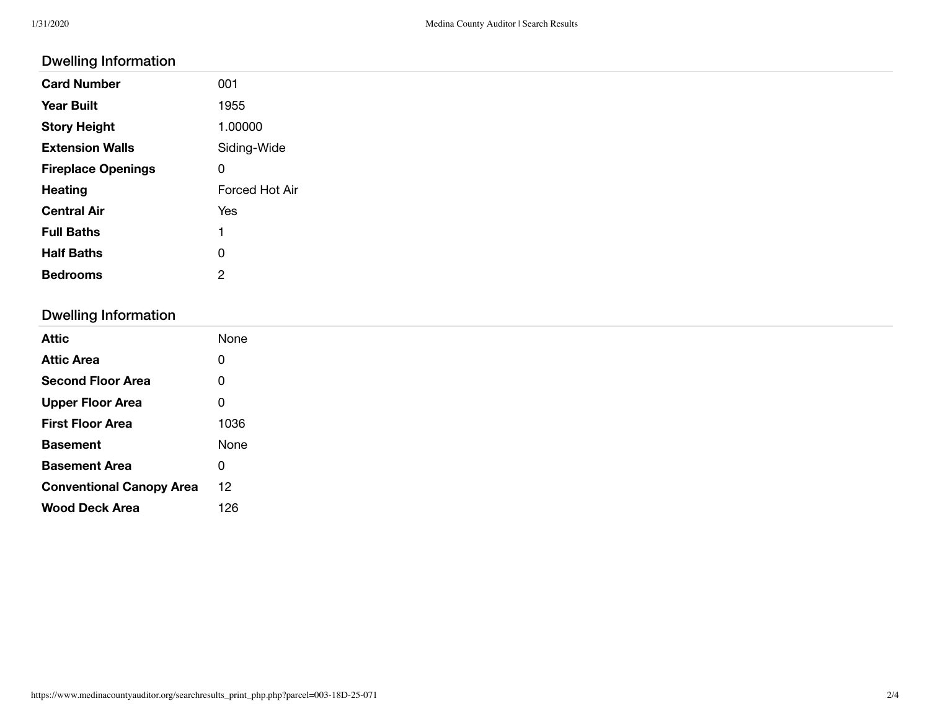#### Dwelling Information

| -                         |                |
|---------------------------|----------------|
| <b>Card Number</b>        | 001            |
| <b>Year Built</b>         | 1955           |
| <b>Story Height</b>       | 1.00000        |
| <b>Extension Walls</b>    | Siding-Wide    |
| <b>Fireplace Openings</b> | 0              |
| <b>Heating</b>            | Forced Hot Air |
| <b>Central Air</b>        | Yes            |
| <b>Full Baths</b>         | ٠              |
| <b>Half Baths</b>         | 0              |
| <b>Bedrooms</b>           | $\overline{2}$ |
|                           |                |

# Dwelling Information

| <b>Attic</b>                    | None |
|---------------------------------|------|
| <b>Attic Area</b>               | 0    |
| <b>Second Floor Area</b>        | 0    |
| <b>Upper Floor Area</b>         | 0    |
| <b>First Floor Area</b>         | 1036 |
| <b>Basement</b>                 | None |
| <b>Basement Area</b>            | 0    |
| <b>Conventional Canopy Area</b> | 12   |
| <b>Wood Deck Area</b>           |      |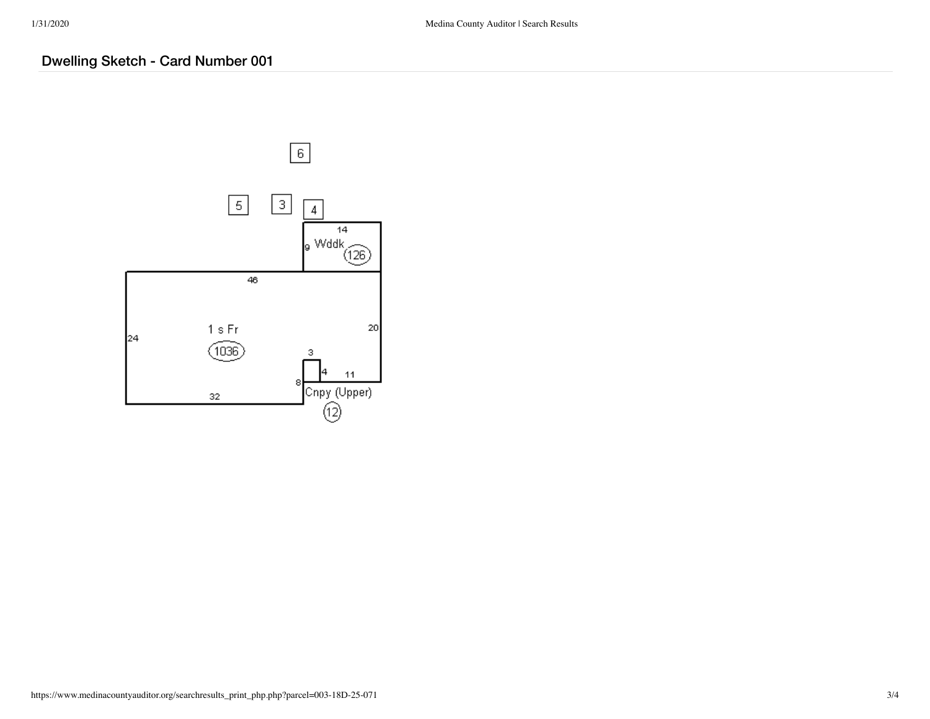